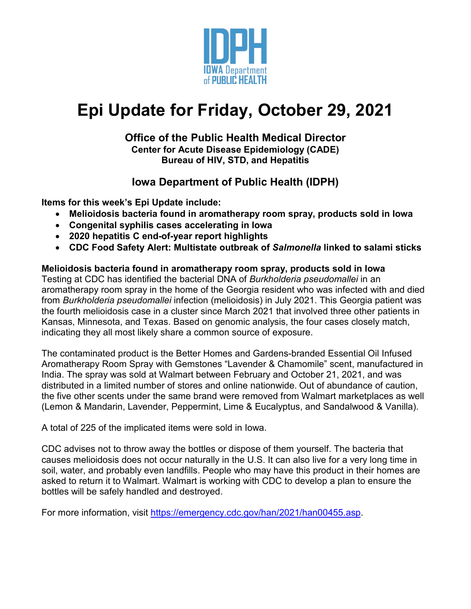

# **Epi Update for Friday, October 29, 2021**

### **Office of the Public Health Medical Director Center for Acute Disease Epidemiology (CADE) Bureau of HIV, STD, and Hepatitis**

# **Iowa Department of Public Health (IDPH)**

**Items for this week's Epi Update include:**

- **Melioidosis bacteria found in aromatherapy room spray, products sold in Iowa**
- **Congenital syphilis cases accelerating in Iowa**
- **2020 hepatitis C end-of-year report highlights**
- **CDC Food Safety Alert: Multistate outbreak of** *Salmonella* **linked to salami sticks**

## **Melioidosis bacteria found in aromatherapy room spray, products sold in Iowa**

Testing at CDC has identified the bacterial DNA of *Burkholderia pseudomallei* in an aromatherapy room spray in the home of the Georgia resident who was infected with and died from *Burkholderia pseudomallei* infection (melioidosis) in July 2021. This Georgia patient was the fourth melioidosis case in a cluster since March 2021 that involved three other patients in Kansas, Minnesota, and Texas. Based on genomic analysis, the four cases closely match, indicating they all most likely share a common source of exposure.

The contaminated product is the Better Homes and Gardens-branded Essential Oil Infused Aromatherapy Room Spray with Gemstones "Lavender & Chamomile" scent, manufactured in India. The spray was sold at Walmart between February and October 21, 2021, and was distributed in a limited number of stores and online nationwide. Out of abundance of caution, the five other scents under the same brand were removed from Walmart marketplaces as well (Lemon & Mandarin, Lavender, Peppermint, Lime & Eucalyptus, and Sandalwood & Vanilla).

A total of 225 of the implicated items were sold in Iowa.

CDC advises not to throw away the bottles or dispose of them yourself. The bacteria that causes melioidosis does not occur naturally in the U.S. It can also live for a very long time in soil, water, and probably even landfills. People who may have this product in their homes are asked to return it to Walmart. Walmart is working with CDC to develop a plan to ensure the bottles will be safely handled and destroyed.

For more information, visit [https://emergency.cdc.gov/han/2021/han00455.asp.](https://emergency.cdc.gov/han/2021/han00455.asp)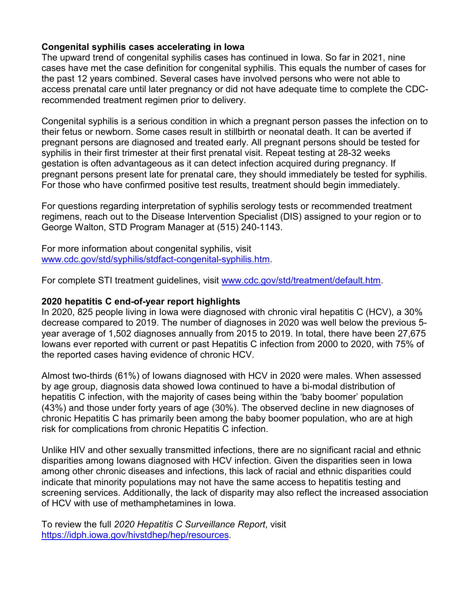#### **Congenital syphilis cases accelerating in Iowa**

The upward trend of congenital syphilis cases has continued in Iowa. So far in 2021, nine cases have met the case definition for congenital syphilis. This equals the number of cases for the past 12 years combined. Several cases have involved persons who were not able to access prenatal care until later pregnancy or did not have adequate time to complete the CDCrecommended treatment regimen prior to delivery.

Congenital syphilis is a serious condition in which a pregnant person passes the infection on to their fetus or newborn. Some cases result in stillbirth or neonatal death. It can be averted if pregnant persons are diagnosed and treated early. All pregnant persons should be tested for syphilis in their first trimester at their first prenatal visit. Repeat testing at 28-32 weeks gestation is often advantageous as it can detect infection acquired during pregnancy. If pregnant persons present late for prenatal care, they should immediately be tested for syphilis. For those who have confirmed positive test results, treatment should begin immediately.

For questions regarding interpretation of syphilis serology tests or recommended treatment regimens, reach out to the Disease Intervention Specialist (DIS) assigned to your region or to George Walton, STD Program Manager at (515) 240-1143.

For more information about congenital syphilis, visit [www.cdc.gov/std/syphilis/stdfact-congenital-syphilis.htm.](http://www.cdc.gov/std/syphilis/stdfact-congenital-syphilis.htm)

For complete STI treatment guidelines, visit [www.cdc.gov/std/treatment/default.htm.](http://www.cdc.gov/std/treatment/default.htm)

#### **2020 hepatitis C end-of-year report highlights**

In 2020, 825 people living in Iowa were diagnosed with chronic viral hepatitis C (HCV), a 30% decrease compared to 2019. The number of diagnoses in 2020 was well below the previous 5 year average of 1,502 diagnoses annually from 2015 to 2019. In total, there have been 27,675 Iowans ever reported with current or past Hepatitis C infection from 2000 to 2020, with 75% of the reported cases having evidence of chronic HCV.

Almost two-thirds (61%) of Iowans diagnosed with HCV in 2020 were males. When assessed by age group, diagnosis data showed Iowa continued to have a bi-modal distribution of hepatitis C infection, with the majority of cases being within the 'baby boomer' population (43%) and those under forty years of age (30%). The observed decline in new diagnoses of chronic Hepatitis C has primarily been among the baby boomer population, who are at high risk for complications from chronic Hepatitis C infection.

Unlike HIV and other sexually transmitted infections, there are no significant racial and ethnic disparities among Iowans diagnosed with HCV infection. Given the disparities seen in Iowa among other chronic diseases and infections, this lack of racial and ethnic disparities could indicate that minority populations may not have the same access to hepatitis testing and screening services. Additionally, the lack of disparity may also reflect the increased association of HCV with use of methamphetamines in Iowa.

To review the full *2020 Hepatitis C Surveillance Report*, visit [https://idph.iowa.gov/hivstdhep/hep/resources.](https://idph.iowa.gov/hivstdhep/hep/resources)